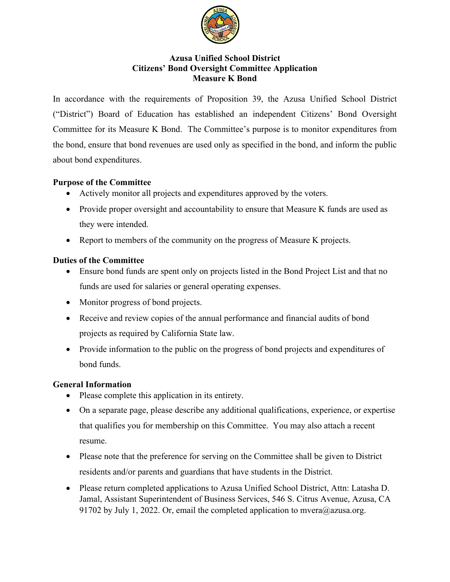

#### **Azusa Unified School District Citizens' Bond Oversight Committee Application Measure K Bond**

In accordance with the requirements of Proposition 39, the Azusa Unified School District ("District") Board of Education has established an independent Citizens' Bond Oversight Committee for its Measure K Bond. The Committee's purpose is to monitor expenditures from the bond, ensure that bond revenues are used only as specified in the bond, and inform the public about bond expenditures.

## **Purpose of the Committee**

- Actively monitor all projects and expenditures approved by the voters.
- Provide proper oversight and accountability to ensure that Measure K funds are used as they were intended.
- Report to members of the community on the progress of Measure K projects.

## **Duties of the Committee**

- Ensure bond funds are spent only on projects listed in the Bond Project List and that no funds are used for salaries or general operating expenses.
- Monitor progress of bond projects.
- Receive and review copies of the annual performance and financial audits of bond projects as required by California State law.
- Provide information to the public on the progress of bond projects and expenditures of bond funds.

## **General Information**

- Please complete this application in its entirety.
- On a separate page, please describe any additional qualifications, experience, or expertise that qualifies you for membership on this Committee. You may also attach a recent resume.
- Please note that the preference for serving on the Committee shall be given to District residents and/or parents and guardians that have students in the District.
- Please return completed applications to Azusa Unified School District, Attn: Latasha D. Jamal, Assistant Superintendent of Business Services, 546 S. Citrus Avenue, Azusa, CA 91702 by July 1, 2022. Or, email the completed application to mvera@azusa.org.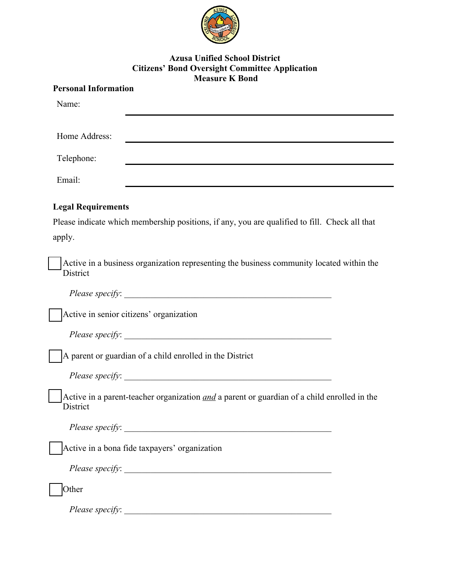

#### **Azusa Unified School District Citizens' Bond Oversight Committee Application Measure K Bond**

| <b>Personal Information</b> |                                                                                                    |  |
|-----------------------------|----------------------------------------------------------------------------------------------------|--|
| Name:                       |                                                                                                    |  |
| Home Address:               |                                                                                                    |  |
|                             |                                                                                                    |  |
| Telephone:                  |                                                                                                    |  |
| Email:                      |                                                                                                    |  |
| <b>Legal Requirements</b>   |                                                                                                    |  |
|                             | Please indicate which membership positions, if any, you are qualified to fill. Check all that      |  |
| apply.                      |                                                                                                    |  |
|                             |                                                                                                    |  |
| <b>District</b>             | Active in a business organization representing the business community located within the           |  |
|                             |                                                                                                    |  |
|                             | Active in senior citizens' organization                                                            |  |
|                             |                                                                                                    |  |
|                             | A parent or guardian of a child enrolled in the District                                           |  |
|                             |                                                                                                    |  |
| District                    | Active in a parent-teacher organization <i>and</i> a parent or guardian of a child enrolled in the |  |
|                             |                                                                                                    |  |
|                             | Active in a bona fide taxpayers' organization                                                      |  |
|                             | Please specify:                                                                                    |  |
| Other                       |                                                                                                    |  |
|                             | Please specify:                                                                                    |  |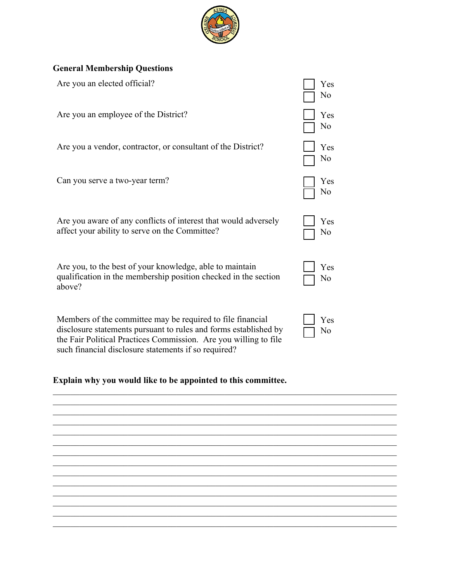

# **General Membership Questions**

| Are you an elected official?                                                                                                                                                                       | Yes<br>No |
|----------------------------------------------------------------------------------------------------------------------------------------------------------------------------------------------------|-----------|
| Are you an employee of the District?                                                                                                                                                               | Yes<br>No |
| Are you a vendor, contractor, or consultant of the District?                                                                                                                                       | Yes<br>No |
| Can you serve a two-year term?                                                                                                                                                                     | Yes<br>No |
| Are you aware of any conflicts of interest that would adversely<br>affect your ability to serve on the Committee?                                                                                  | Yes<br>No |
| Are you, to the best of your knowledge, able to maintain<br>qualification in the membership position checked in the section<br>above?                                                              | Yes<br>No |
| Members of the committee may be required to file financial<br>disclosure statements pursuant to rules and forms established by<br>the Fair Political Practices Commission. Are you willing to file | Yes<br>No |

# **Explain why you would like to be appointed to this committee.**

such financial disclosure statements if so required?